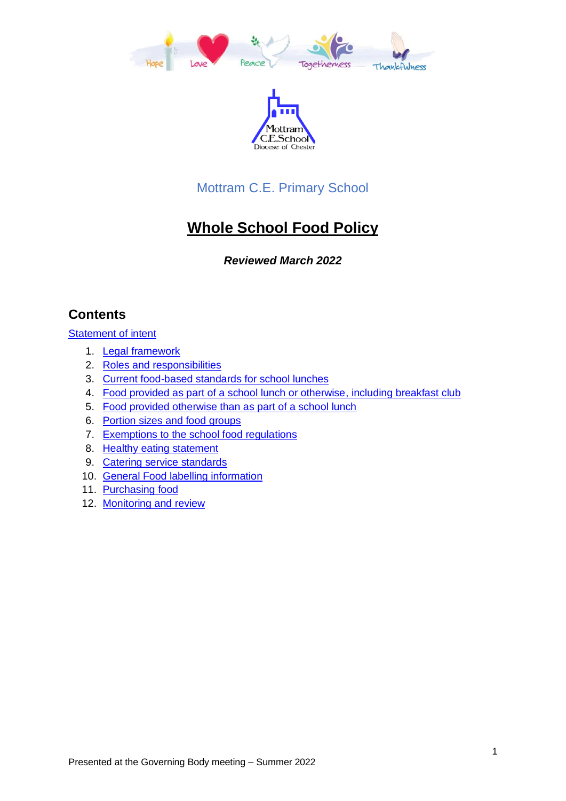



# Mottram C.E. Primary School

# **Whole School Food Policy**

## *Reviewed March 2022*

# **Contents**

[Statement of intent](#page-1-0)

- 1. [Legal framework](#page-2-0)
- 2. [Roles and responsibilities](#page-2-1)
- 3. [Current food-based standards for school lunches](#page-3-0)
- 4. [Food provided as part of a school lunch or otherwise,](#page-4-0) including breakfast club
- 5. [Food provided otherwise than as part of a school lunch](#page-4-1)
- 6. [Portion sizes and food groups](#page-5-0)
- 7. [Exemptions to the school food regulations](#page-8-0)
- 8. [Healthy eating statement](#page-9-0)
- 9. [Catering service standards](#page-9-1)
- 10. General Food labelling information
- 11. [Purchasing food](#page-10-0)
- 12. [Monitoring and review](#page-11-0)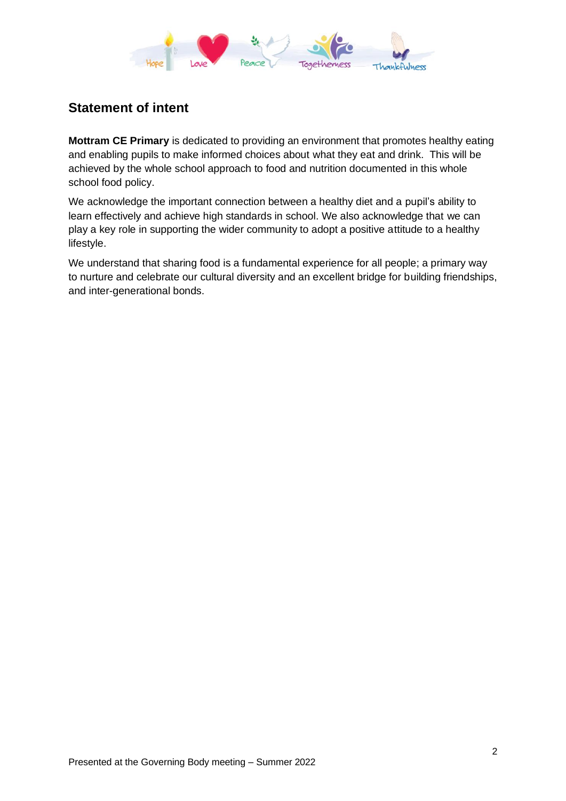

# <span id="page-1-0"></span>**Statement of intent**

**Mottram CE Primary** is dedicated to providing an environment that promotes healthy eating and enabling pupils to make informed choices about what they eat and drink. This will be achieved by the whole school approach to food and nutrition documented in this whole school food policy.

We acknowledge the important connection between a healthy diet and a pupil's ability to learn effectively and achieve high standards in school. We also acknowledge that we can play a key role in supporting the wider community to adopt a positive attitude to a healthy lifestyle.

We understand that sharing food is a fundamental experience for all people; a primary way to nurture and celebrate our cultural diversity and an excellent bridge for building friendships, and inter-generational bonds.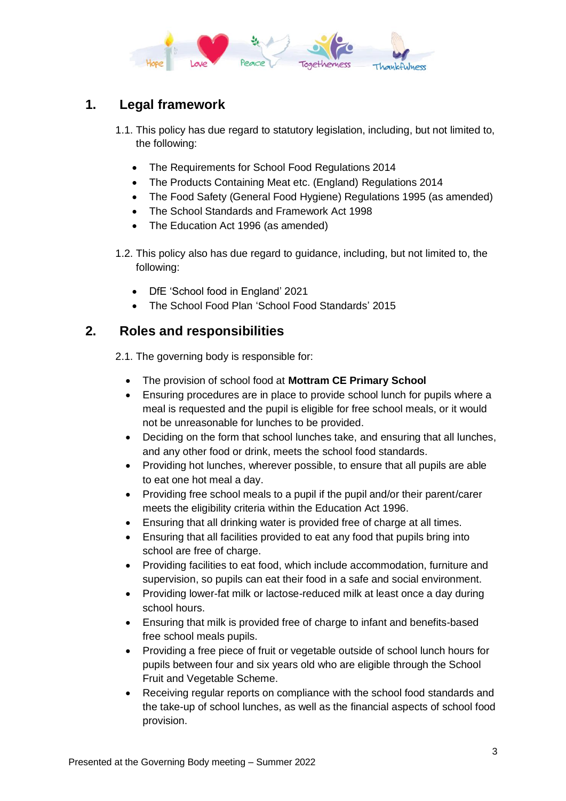

# <span id="page-2-0"></span>**1. Legal framework**

- 1.1. This policy has due regard to statutory legislation, including, but not limited to, the following:
	- The Requirements for School Food Regulations 2014
	- The Products Containing Meat etc. (England) Regulations 2014
	- The Food Safety (General Food Hygiene) Regulations 1995 (as amended)
	- The School Standards and Framework Act 1998
	- The Education Act 1996 (as amended)
- 1.2. This policy also has due regard to guidance, including, but not limited to, the following:
	- DfE 'School food in England' 2021
	- The School Food Plan 'School Food Standards' 2015

### <span id="page-2-1"></span>**2. Roles and responsibilities**

2.1. The governing body is responsible for:

- The provision of school food at **Mottram CE Primary School**
- Ensuring procedures are in place to provide school lunch for pupils where a meal is requested and the pupil is eligible for free school meals, or it would not be unreasonable for lunches to be provided.
- Deciding on the form that school lunches take, and ensuring that all lunches, and any other food or drink, meets the school food standards.
- Providing hot lunches, wherever possible, to ensure that all pupils are able to eat one hot meal a day.
- Providing free school meals to a pupil if the pupil and/or their parent/carer meets the eligibility criteria within the Education Act 1996.
- Ensuring that all drinking water is provided free of charge at all times.
- Ensuring that all facilities provided to eat any food that pupils bring into school are free of charge.
- Providing facilities to eat food, which include accommodation, furniture and supervision, so pupils can eat their food in a safe and social environment.
- Providing lower-fat milk or lactose-reduced milk at least once a day during school hours.
- Ensuring that milk is provided free of charge to infant and benefits-based free school meals pupils.
- Providing a free piece of fruit or vegetable outside of school lunch hours for pupils between four and six years old who are eligible through the School Fruit and Vegetable Scheme.
- Receiving regular reports on compliance with the school food standards and the take-up of school lunches, as well as the financial aspects of school food provision.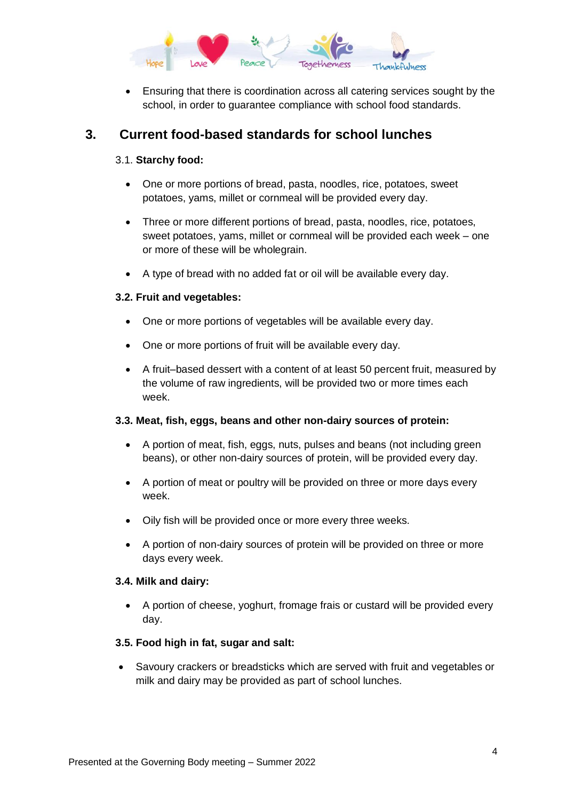

• Ensuring that there is coordination across all catering services sought by the school, in order to guarantee compliance with school food standards.

### <span id="page-3-1"></span><span id="page-3-0"></span>**3. Current food-based standards for school lunches**

#### 3.1. **Starchy food:**

- One or more portions of bread, pasta, noodles, rice, potatoes, sweet potatoes, yams, millet or cornmeal will be provided every day.
- Three or more different portions of bread, pasta, noodles, rice, potatoes, sweet potatoes, yams, millet or cornmeal will be provided each week – one or more of these will be wholegrain.
- A type of bread with no added fat or oil will be available every day.

#### **3.2. Fruit and vegetables:**

- One or more portions of vegetables will be available every day.
- One or more portions of fruit will be available every day.
- A fruit–based dessert with a content of at least 50 percent fruit, measured by the volume of raw ingredients, will be provided two or more times each week.

#### **3.3. Meat, fish, eggs, beans and other non-dairy sources of protein:**

- A portion of meat, fish, eggs, nuts, pulses and beans (not including green beans), or other non-dairy sources of protein, will be provided every day.
- A portion of meat or poultry will be provided on three or more days every week.
- Oily fish will be provided once or more every three weeks.
- A portion of non-dairy sources of protein will be provided on three or more days every week.

#### **3.4. Milk and dairy:**

• A portion of cheese, yoghurt, fromage frais or custard will be provided every day.

#### **3.5. Food high in fat, sugar and salt:**

• Savoury crackers or breadsticks which are served with fruit and vegetables or milk and dairy may be provided as part of school lunches.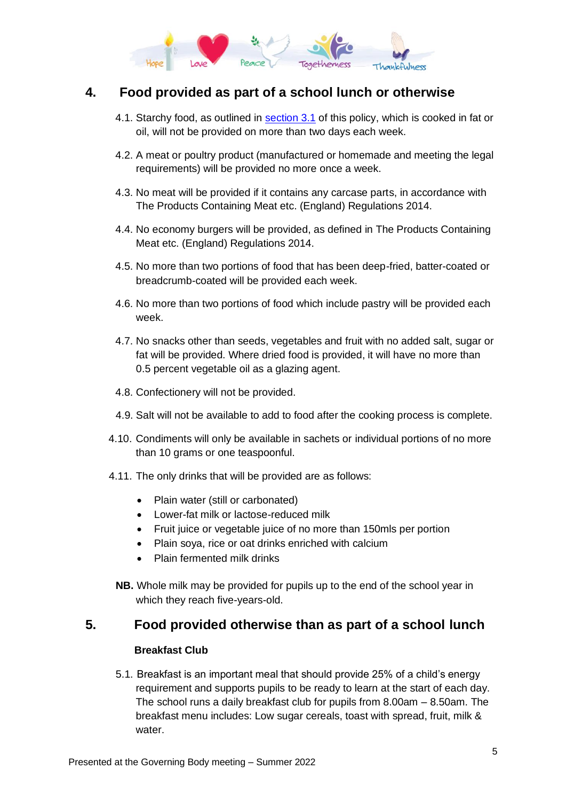

# <span id="page-4-0"></span>**4. Food provided as part of a school lunch or otherwise**

- 4.1. Starchy food, as outlined in [section 3.1](#page-3-1) of this policy, which is cooked in fat or oil, will not be provided on more than two days each week.
- 4.2. A meat or poultry product (manufactured or homemade and meeting the legal requirements) will be provided no more once a week.
- 4.3. No meat will be provided if it contains any carcase parts, in accordance with The Products Containing Meat etc. (England) Regulations 2014.
- 4.4. No economy burgers will be provided, as defined in The Products Containing Meat etc. (England) Regulations 2014.
- 4.5. No more than two portions of food that has been deep-fried, batter-coated or breadcrumb-coated will be provided each week.
- 4.6. No more than two portions of food which include pastry will be provided each week.
- 4.7. No snacks other than seeds, vegetables and fruit with no added salt, sugar or fat will be provided. Where dried food is provided, it will have no more than 0.5 percent vegetable oil as a glazing agent.
- 4.8. Confectionery will not be provided.
- 4.9. Salt will not be available to add to food after the cooking process is complete.
- 4.10. Condiments will only be available in sachets or individual portions of no more than 10 grams or one teaspoonful.
- 4.11. The only drinks that will be provided are as follows:
	- Plain water (still or carbonated)
	- Lower-fat milk or lactose-reduced milk
	- Fruit juice or vegetable juice of no more than 150mls per portion
	- Plain soya, rice or oat drinks enriched with calcium
	- Plain fermented milk drinks
- **NB.** Whole milk may be provided for pupils up to the end of the school year in which they reach five-years-old.

### <span id="page-4-1"></span>**5. Food provided otherwise than as part of a school lunch**

#### **Breakfast Club**

5.1. Breakfast is an important meal that should provide 25% of a child's energy requirement and supports pupils to be ready to learn at the start of each day. The school runs a daily breakfast club for pupils from 8.00am – 8.50am. The breakfast menu includes: Low sugar cereals, toast with spread, fruit, milk & water.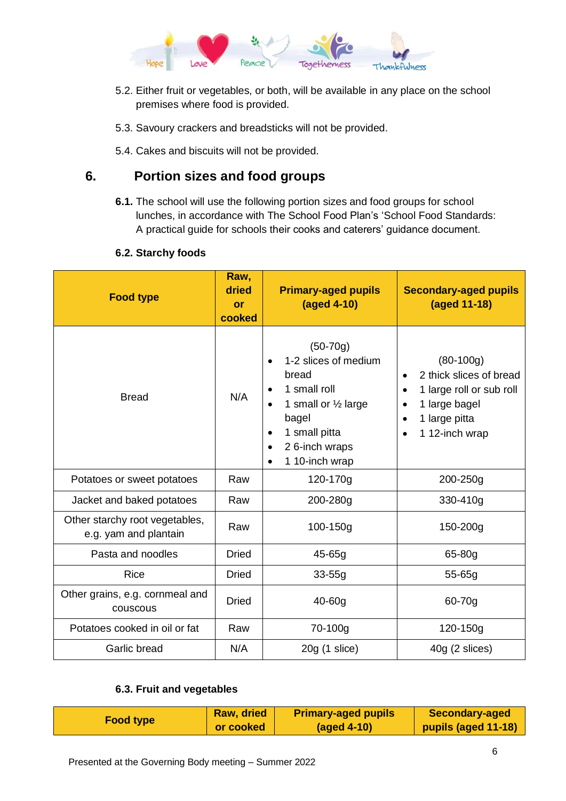

- 5.2. Either fruit or vegetables, or both, will be available in any place on the school premises where food is provided.
- 5.3. Savoury crackers and breadsticks will not be provided.
- 5.4. Cakes and biscuits will not be provided.

### <span id="page-5-0"></span>**6. Portion sizes and food groups**

**6.1.** The school will use the following portion sizes and food groups for school lunches, in accordance with The School Food Plan's 'School Food Standards: A practical guide for schools their cooks and caterers' guidance document.

#### **6.2. Starchy foods**

| <b>Food type</b>                                        | Raw,<br>dried<br>or<br>cooked | <b>Primary-aged pupils</b><br>(aged 4-10)                                                                                                                                                                                       | <b>Secondary-aged pupils</b><br>(aged 11-18)                                                                                                                               |
|---------------------------------------------------------|-------------------------------|---------------------------------------------------------------------------------------------------------------------------------------------------------------------------------------------------------------------------------|----------------------------------------------------------------------------------------------------------------------------------------------------------------------------|
| <b>Bread</b>                                            | N/A                           | $(50-70g)$<br>1-2 slices of medium<br>$\bullet$<br>bread<br>1 small roll<br>$\bullet$<br>1 small or 1/2 large<br>$\bullet$<br>bagel<br>1 small pitta<br>$\bullet$<br>2 6-inch wraps<br>$\bullet$<br>1 10-inch wrap<br>$\bullet$ | $(80-100g)$<br>2 thick slices of bread<br>$\bullet$<br>1 large roll or sub roll<br>$\bullet$<br>1 large bagel<br>$\bullet$<br>1 large pitta<br>1 12-inch wrap<br>$\bullet$ |
| Potatoes or sweet potatoes                              | Raw                           | 120-170g                                                                                                                                                                                                                        | 200-250g                                                                                                                                                                   |
| Jacket and baked potatoes                               | Raw                           | 200-280g                                                                                                                                                                                                                        | 330-410g                                                                                                                                                                   |
| Other starchy root vegetables,<br>e.g. yam and plantain | Raw                           | 100-150g                                                                                                                                                                                                                        | 150-200g                                                                                                                                                                   |
| Pasta and noodles                                       | Dried                         | $45 - 65g$                                                                                                                                                                                                                      | 65-80g                                                                                                                                                                     |
| <b>Rice</b>                                             | Dried                         | $33 - 55g$                                                                                                                                                                                                                      | $55 - 65g$                                                                                                                                                                 |
| Other grains, e.g. cornmeal and<br>couscous             | <b>Dried</b>                  | $40 - 60g$                                                                                                                                                                                                                      | 60-70g                                                                                                                                                                     |
| Potatoes cooked in oil or fat                           | Raw                           | 70-100g                                                                                                                                                                                                                         | 120-150g                                                                                                                                                                   |
| Garlic bread                                            | N/A                           | $20g(1)$ slice)                                                                                                                                                                                                                 | $40g$ (2 slices)                                                                                                                                                           |

#### **6.3. Fruit and vegetables**

| <b>Food type</b> | <b>Raw, dried</b> | <b>Primary-aged pupils</b> | <b>Secondary-aged</b> |
|------------------|-------------------|----------------------------|-----------------------|
|                  | or cooked         | $(aged 4-10)$              | pupils (aged 11-18)   |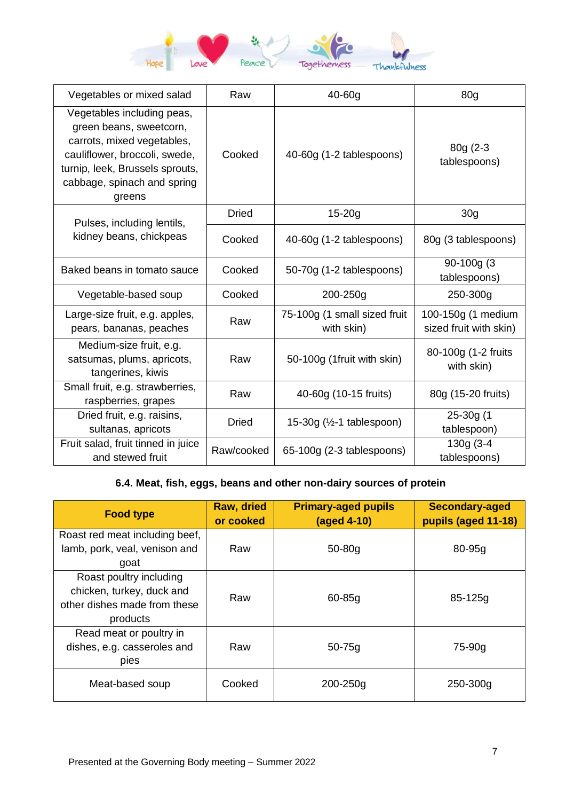

| Vegetables or mixed salad                                                                                                                                                                        | Raw          | $40-60g$                                   | 80g                                          |
|--------------------------------------------------------------------------------------------------------------------------------------------------------------------------------------------------|--------------|--------------------------------------------|----------------------------------------------|
| Vegetables including peas,<br>green beans, sweetcorn,<br>carrots, mixed vegetables,<br>cauliflower, broccoli, swede,<br>turnip, leek, Brussels sprouts,<br>cabbage, spinach and spring<br>greens | Cooked       | 40-60g (1-2 tablespoons)                   | $80g(2-3)$<br>tablespoons)                   |
| Pulses, including lentils,                                                                                                                                                                       | <b>Dried</b> | $15 - 20g$                                 | 30 <sub>g</sub>                              |
| kidney beans, chickpeas                                                                                                                                                                          | Cooked       | 40-60g (1-2 tablespoons)                   | 80g (3 tablespoons)                          |
| Baked beans in tomato sauce                                                                                                                                                                      | Cooked       | 50-70g (1-2 tablespoons)                   | 90-100g (3<br>tablespoons)                   |
| Vegetable-based soup                                                                                                                                                                             | Cooked       | 200-250g                                   | 250-300g                                     |
| Large-size fruit, e.g. apples,<br>pears, bananas, peaches                                                                                                                                        | Raw          | 75-100g (1 small sized fruit<br>with skin) | 100-150g (1 medium<br>sized fruit with skin) |
| Medium-size fruit, e.g.<br>satsumas, plums, apricots,<br>tangerines, kiwis                                                                                                                       | Raw          | 50-100g (1fruit with skin)                 | 80-100g (1-2 fruits<br>with skin)            |
| Small fruit, e.g. strawberries,<br>raspberries, grapes                                                                                                                                           | Raw          | 40-60g (10-15 fruits)                      | 80g (15-20 fruits)                           |
| Dried fruit, e.g. raisins,<br>sultanas, apricots                                                                                                                                                 | <b>Dried</b> | 15-30g $(\frac{1}{2} - 1$ tablespoon)      | 25-30g (1<br>tablespoon)                     |
| Fruit salad, fruit tinned in juice<br>and stewed fruit                                                                                                                                           | Raw/cooked   | 65-100g (2-3 tablespoons)                  | 130g (3-4<br>tablespoons)                    |

### **6.4. Meat, fish, eggs, beans and other non-dairy sources of protein**

| <b>Food type</b>                                                                                 | <b>Raw, dried</b><br>or cooked | <b>Primary-aged pupils</b><br>(aged 4-10) | <b>Secondary-aged</b><br>pupils (aged 11-18) |
|--------------------------------------------------------------------------------------------------|--------------------------------|-------------------------------------------|----------------------------------------------|
| Roast red meat including beef,<br>lamb, pork, veal, venison and<br>goat                          | Raw                            | $50-80q$                                  | $80-95q$                                     |
| Roast poultry including<br>chicken, turkey, duck and<br>other dishes made from these<br>products | Raw                            | $60 - 85q$                                | 85-125g                                      |
| Read meat or poultry in<br>dishes, e.g. casseroles and<br>pies                                   | Raw                            | $50 - 75q$                                | 75-90g                                       |
| Meat-based soup                                                                                  | Cooked                         | 200-250g                                  | 250-300g                                     |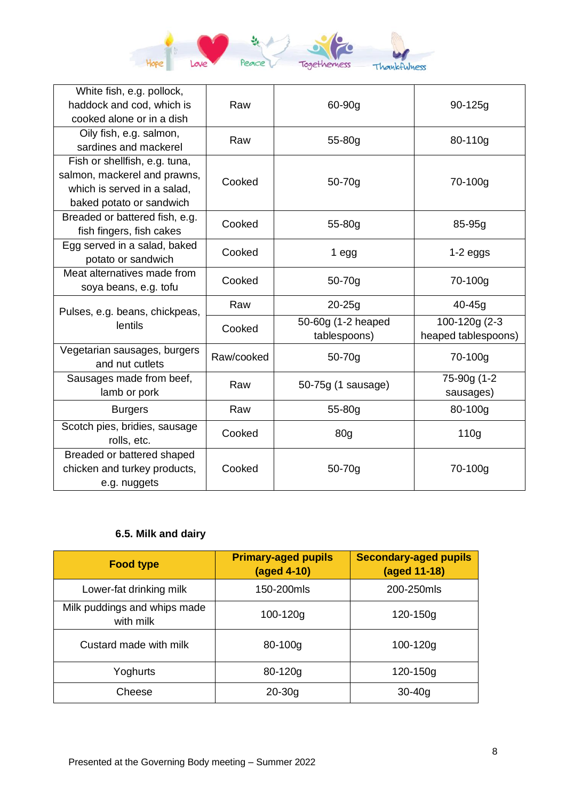

| White fish, e.g. pollock,<br>haddock and cod, which is<br>cooked alone or in a dish                                      | Raw        | 60-90g                             | $90 - 125g$                          |
|--------------------------------------------------------------------------------------------------------------------------|------------|------------------------------------|--------------------------------------|
| Oily fish, e.g. salmon,<br>sardines and mackerel                                                                         | Raw        | 55-80g                             | 80-110g                              |
| Fish or shellfish, e.g. tuna,<br>salmon, mackerel and prawns,<br>which is served in a salad,<br>baked potato or sandwich | Cooked     | 50-70g                             | 70-100g                              |
| Breaded or battered fish, e.g.<br>fish fingers, fish cakes                                                               | Cooked     | 55-80g                             | 85-95g                               |
| Egg served in a salad, baked<br>potato or sandwich                                                                       | Cooked     | 1 egg                              | $1-2$ eggs                           |
| Meat alternatives made from<br>soya beans, e.g. tofu                                                                     | Cooked     | 50-70g                             | 70-100g                              |
| Pulses, e.g. beans, chickpeas,                                                                                           | Raw        | $20 - 25g$                         | $40 - 45g$                           |
| lentils                                                                                                                  | Cooked     | 50-60g (1-2 heaped<br>tablespoons) | 100-120g (2-3<br>heaped tablespoons) |
| Vegetarian sausages, burgers<br>and nut cutlets                                                                          | Raw/cooked | 50-70g                             | 70-100g                              |
| Sausages made from beef,<br>lamb or pork                                                                                 | Raw        | 50-75g (1 sausage)                 | 75-90g (1-2<br>sausages)             |
| <b>Burgers</b>                                                                                                           | Raw        | 55-80g                             | 80-100g                              |
| Scotch pies, bridies, sausage<br>rolls, etc.                                                                             | Cooked     | 80g                                | 110g                                 |
| Breaded or battered shaped<br>chicken and turkey products,<br>e.g. nuggets                                               | Cooked     | 50-70g                             | 70-100g                              |

# **6.5. Milk and dairy**

| <b>Food type</b>                          | <b>Primary-aged pupils</b><br>$(aged 4-10)$ | <b>Secondary-aged pupils</b><br>(aged 11-18) |
|-------------------------------------------|---------------------------------------------|----------------------------------------------|
| Lower-fat drinking milk                   | 150-200mls                                  | 200-250mls                                   |
| Milk puddings and whips made<br>with milk | 100-120g                                    | 120-150g                                     |
| Custard made with milk                    | 80-100g                                     | 100-120g                                     |
| Yoghurts                                  | 80-120g                                     | 120-150g                                     |
| Cheese                                    | $20 - 30g$                                  | $30 - 40q$                                   |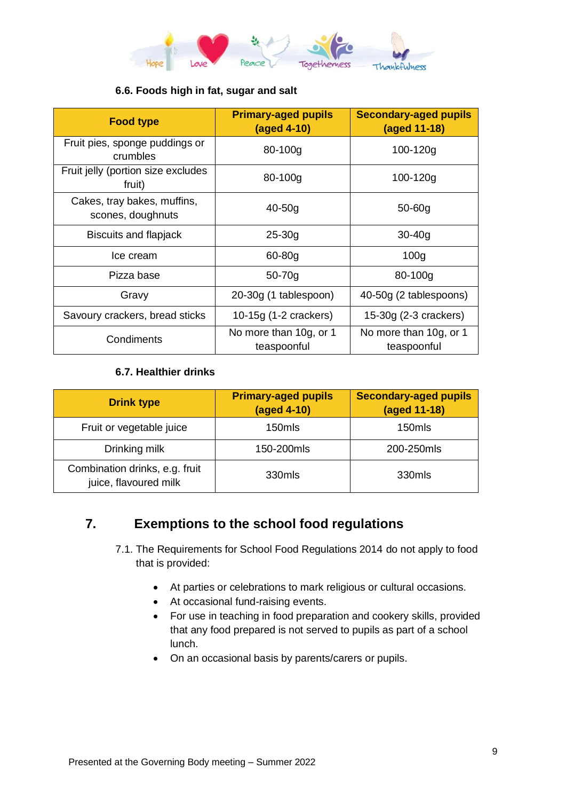

#### **6.6. Foods high in fat, sugar and salt**

| <b>Food type</b>                                 | <b>Primary-aged pupils</b><br>(aged 4-10) | <b>Secondary-aged pupils</b><br>(aged 11-18) |
|--------------------------------------------------|-------------------------------------------|----------------------------------------------|
| Fruit pies, sponge puddings or<br>crumbles       | 80-100g                                   | $100 - 120g$                                 |
| Fruit jelly (portion size excludes<br>fruit)     | 80-100g                                   | 100-120g                                     |
| Cakes, tray bakes, muffins,<br>scones, doughnuts | $40-50q$                                  | $50 - 60g$                                   |
| Biscuits and flapjack                            | $25 - 30g$                                | $30 - 40g$                                   |
| Ice cream                                        | $60 - 80g$                                | 100 <sub>g</sub>                             |
| Pizza base                                       | $50 - 70g$                                | 80-100g                                      |
| Gravy                                            | 20-30g (1 tablespoon)                     | 40-50g (2 tablespoons)                       |
| Savoury crackers, bread sticks                   | 10-15g (1-2 crackers)                     | 15-30g (2-3 crackers)                        |
| Condiments                                       | No more than 10g, or 1<br>teaspoonful     | No more than 10g, or 1<br>teaspoonful        |

#### **6.7. Healthier drinks**

| <b>Drink type</b>                                       | <b>Primary-aged pupils</b><br>(aged 4-10) | <b>Secondary-aged pupils</b><br>(aged 11-18) |
|---------------------------------------------------------|-------------------------------------------|----------------------------------------------|
| Fruit or vegetable juice                                | 150mls                                    | 150mls                                       |
| Drinking milk                                           | 150-200mls                                | 200-250mls                                   |
| Combination drinks, e.g. fruit<br>juice, flavoured milk | 330mls                                    | 330mls                                       |

## <span id="page-8-0"></span>**7. Exemptions to the school food regulations**

- 7.1. The Requirements for School Food Regulations 2014 do not apply to food that is provided:
	- At parties or celebrations to mark religious or cultural occasions.
	- At occasional fund-raising events.
	- For use in teaching in food preparation and cookery skills, provided that any food prepared is not served to pupils as part of a school lunch.
	- On an occasional basis by parents/carers or pupils.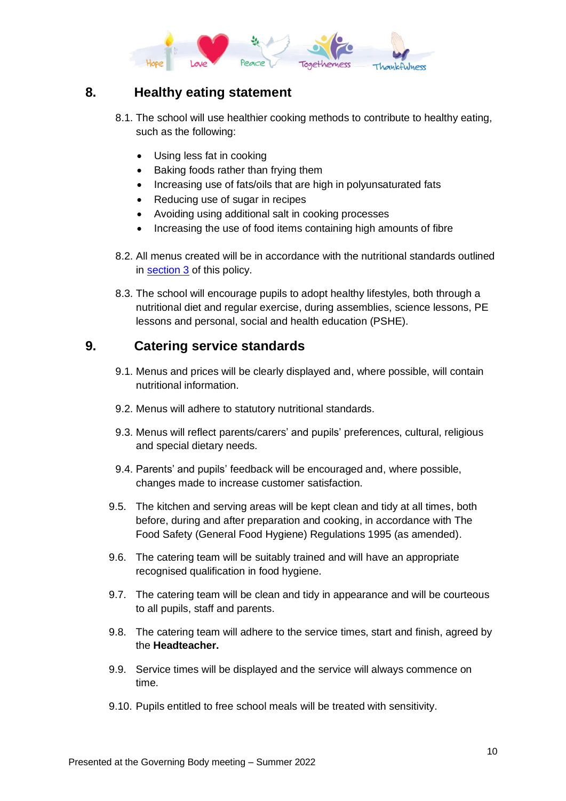

# <span id="page-9-0"></span>**8. Healthy eating statement**

- 8.1. The school will use healthier cooking methods to contribute to healthy eating, such as the following:
	- Using less fat in cooking
	- Baking foods rather than frying them
	- Increasing use of fats/oils that are high in polyunsaturated fats
	- Reducing use of sugar in recipes
	- Avoiding using additional salt in cooking processes
	- Increasing the use of food items containing high amounts of fibre
- 8.2. All menus created will be in accordance with the nutritional standards outlined in [section 3](#page-3-0) of this policy.
- 8.3. The school will encourage pupils to adopt healthy lifestyles, both through a nutritional diet and regular exercise, during assemblies, science lessons, PE lessons and personal, social and health education (PSHE).

## <span id="page-9-1"></span>**9. Catering service standards**

- 9.1. Menus and prices will be clearly displayed and, where possible, will contain nutritional information.
- 9.2. Menus will adhere to statutory nutritional standards.
- 9.3. Menus will reflect parents/carers' and pupils' preferences, cultural, religious and special dietary needs.
- 9.4. Parents' and pupils' feedback will be encouraged and, where possible, changes made to increase customer satisfaction.
- 9.5. The kitchen and serving areas will be kept clean and tidy at all times, both before, during and after preparation and cooking, in accordance with The Food Safety (General Food Hygiene) Regulations 1995 (as amended).
- 9.6. The catering team will be suitably trained and will have an appropriate recognised qualification in food hygiene.
- 9.7. The catering team will be clean and tidy in appearance and will be courteous to all pupils, staff and parents.
- 9.8. The catering team will adhere to the service times, start and finish, agreed by the **Headteacher.**
- 9.9. Service times will be displayed and the service will always commence on time.
- 9.10. Pupils entitled to free school meals will be treated with sensitivity.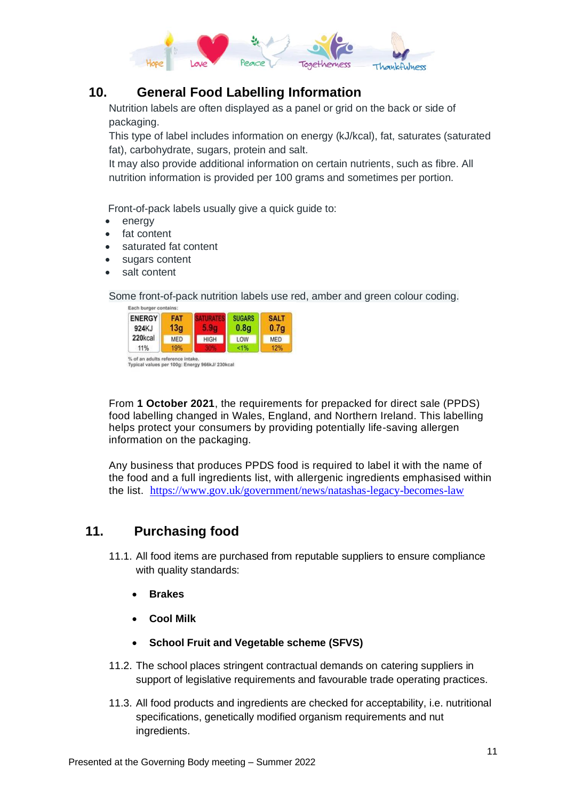

## **10. General Food Labelling Information**

Nutrition labels are often displayed as a panel or grid on the back or side of packaging.

This type of label includes information on energy (kJ/kcal), fat, saturates (saturated fat), carbohydrate, sugars, protein and salt.

It may also provide additional information on certain nutrients, such as fibre. All nutrition information is provided per 100 grams and sometimes per portion.

Front-of-pack labels usually give a quick guide to:

- energy
- fat content
- saturated fat content
- sugars content
- salt content

Some front-of-pack nutrition labels use red, amber and green colour coding.

| <b>ENERGY</b><br>924KJ | <b>FAT</b><br>13a |             | <b>SUGARS</b><br>0.8q | <b>SALT</b><br>0.7 <sub>a</sub> |
|------------------------|-------------------|-------------|-----------------------|---------------------------------|
| 220kcal                | <b>MED</b>        | <b>HIGH</b> | LOW                   | <b>MED</b>                      |
| 11%                    | 19%               |             | 1%                    | 12%                             |

From **1 October 2021**, the requirements for prepacked for direct sale (PPDS) food labelling changed in Wales, England, and Northern Ireland. This labelling helps protect your consumers by providing potentially life-saving allergen information on the packaging.

Any business that produces PPDS food is required to label it with the name of the food and a full ingredients list, with allergenic ingredients emphasised within the list. <https://www.gov.uk/government/news/natashas-legacy-becomes-law>

### <span id="page-10-0"></span>**11. Purchasing food**

- 11.1. All food items are purchased from reputable suppliers to ensure compliance with quality standards:
	- **Brakes**
	- **Cool Milk**
	- **School Fruit and Vegetable scheme (SFVS)**
- 11.2. The school places stringent contractual demands on catering suppliers in support of legislative requirements and favourable trade operating practices.
- 11.3. All food products and ingredients are checked for acceptability, i.e. nutritional specifications, genetically modified organism requirements and nut ingredients.